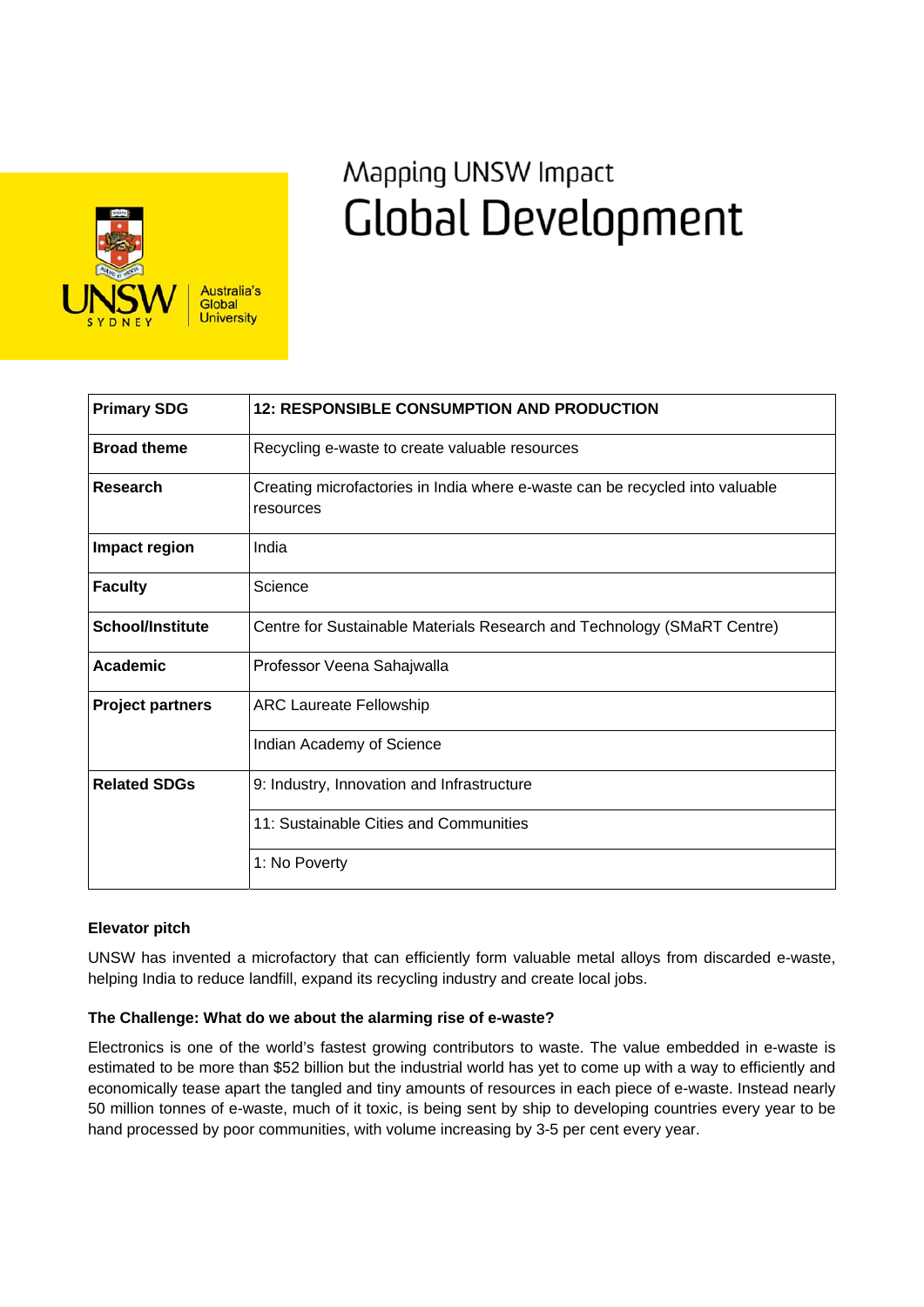

# Mapping UNSW Impact **Global Development**

| <b>Primary SDG</b>      | <b>12: RESPONSIBLE CONSUMPTION AND PRODUCTION</b>                                         |
|-------------------------|-------------------------------------------------------------------------------------------|
| <b>Broad theme</b>      | Recycling e-waste to create valuable resources                                            |
| <b>Research</b>         | Creating microfactories in India where e-waste can be recycled into valuable<br>resources |
| Impact region           | India                                                                                     |
| <b>Faculty</b>          | Science                                                                                   |
| <b>School/Institute</b> | Centre for Sustainable Materials Research and Technology (SMaRT Centre)                   |
| <b>Academic</b>         | Professor Veena Sahajwalla                                                                |
| <b>Project partners</b> | <b>ARC Laureate Fellowship</b>                                                            |
|                         | Indian Academy of Science                                                                 |
| <b>Related SDGs</b>     | 9: Industry, Innovation and Infrastructure                                                |
|                         | 11: Sustainable Cities and Communities                                                    |
|                         | 1: No Poverty                                                                             |

## **Elevator pitch**

UNSW has invented a microfactory that can efficiently form valuable metal alloys from discarded e-waste, helping India to reduce landfill, expand its recycling industry and create local jobs.

## **The Challenge: What do we about the alarming rise of e-waste?**

Electronics is one of the world's fastest growing contributors to waste. The value embedded in e-waste is estimated to be more than \$52 billion but the industrial world has yet to come up with a way to efficiently and economically tease apart the tangled and tiny amounts of resources in each piece of e-waste. Instead nearly 50 million tonnes of e-waste, much of it toxic, is being sent by ship to developing countries every year to be hand processed by poor communities, with volume increasing by 3-5 per cent every year.